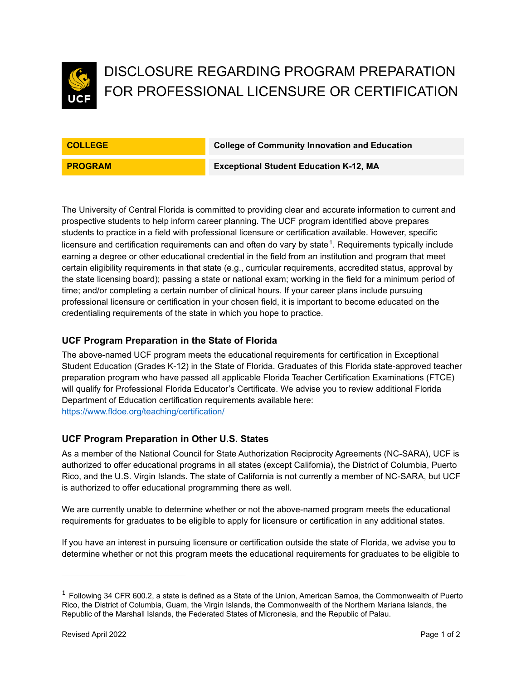

# DISCLOSURE REGARDING PROGRAM PREPARATION FOR PROFESSIONAL LICENSURE OR CERTIFICATION

**COLLEGE College of Community Innovation and Education**

**PROGRAM Exceptional Student Education K-12, MA**

The University of Central Florida is committed to providing clear and accurate information to current and prospective students to help inform career planning. The UCF program identified above prepares students to practice in a field with professional licensure or certification available. However, specific licensure and certification requirements can and often do vary by state $^1$  $^1$ . Requirements typically include earning a degree or other educational credential in the field from an institution and program that meet certain eligibility requirements in that state (e.g., curricular requirements, accredited status, approval by the state licensing board); passing a state or national exam; working in the field for a minimum period of time; and/or completing a certain number of clinical hours. If your career plans include pursuing professional licensure or certification in your chosen field, it is important to become educated on the credentialing requirements of the state in which you hope to practice.

## **UCF Program Preparation in the State of Florida**

The above-named UCF program meets the educational requirements for certification in Exceptional Student Education (Grades K-12) in the State of Florida. Graduates of this Florida state-approved teacher preparation program who have passed all applicable Florida Teacher Certification Examinations (FTCE) will qualify for Professional Florida Educator's Certificate. We advise you to review additional Florida Department of Education certification requirements available here: <https://www.fldoe.org/teaching/certification/>

#### **UCF Program Preparation in Other U.S. States**

As a member of the National Council for State Authorization Reciprocity Agreements (NC-SARA), UCF is authorized to offer educational programs in all states (except California), the District of Columbia, Puerto Rico, and the U.S. Virgin Islands. The state of California is not currently a member of NC-SARA, but UCF is authorized to offer educational programming there as well.

We are currently unable to determine whether or not the above-named program meets the educational requirements for graduates to be eligible to apply for licensure or certification in any additional states.

If you have an interest in pursuing licensure or certification outside the state of Florida, we advise you to determine whether or not this program meets the educational requirements for graduates to be eligible to

<span id="page-0-0"></span> $1$  Following 34 CFR 600.2, a state is defined as a State of the Union, American Samoa, the Commonwealth of Puerto Rico, the District of Columbia, Guam, the Virgin Islands, the Commonwealth of the Northern Mariana Islands, the Republic of the Marshall Islands, the Federated States of Micronesia, and the Republic of Palau.